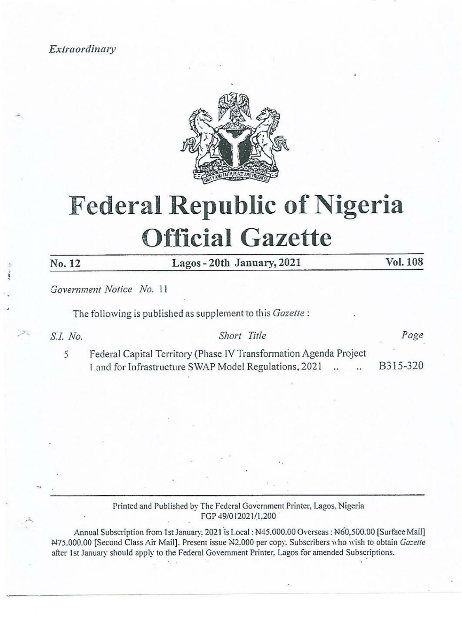Extraordinary



# Federal Republic of Nigeria Official Gazette Extraordinary<br>
Federal Repul Extraordinary<br>
Federal Repul Federal Repulse Contract Contract Contract Contract Contract Contract Contract Contract Contract Contract Contract Contract Contract Contract Contract Contract Contract Contract Contract Contract Contract Contract Contract

No. 12

Lagos - 20th January, 2021 Vol. 108

Government Notice No. 11

The following is published as supplement to this Gazette :

# S.I. No. 2 eras Short Title 2 eras Page

5 Federal Capital Territory (Phase IV Transformation Agenda Project Land for Infrastructure SWAP Model Regulations, 2021 .. . B315-320

## Printed and Published by The Federal Government Printer, Lagos, Nigeria FGP 49/012021/1.200

FGP 49/01<br>
FGP 49/01<br>
anuary, 2021 is Le<br>
Present issue N2<br>
Federal Government Annual Subscription from 1st January. 2021 is Local: N45.000.00 Overseas: N60,500.00 [Surface Mail] N75.000.00 [Second Class Air Mail]. Present issue N2.000 per copy. Subscribers who wish to obtain Gazette after Ist January should apply to the Federal Government Printer, Lagos for amended Subscriptions.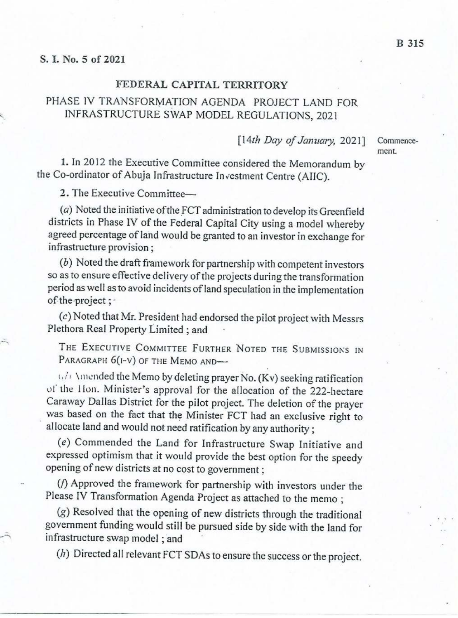### FEDERAL CAPITAL TERRITORY

# PHASE IV TRANSFORMATION AGENDA PROJECT LAND FOR INFRASTRUCTURE SWAP MODEL REGULATIONS, 2021

[14th Day of January, 2021]

Commencement.

1. In 2012 the Executive Committee considered the Memorandum by the Co-ordinator of Abuja Infrastructure Investment Centre (AIIC).

2. The Executive Committee—

( $a$ ) Noted the initiative of the FCT administration to develop its Greenfield districts in Phase IV of the Federal Capital City using a model whereby agreed percentage of land would be granted to an investor in exchange

(b) Noted the draft framework for partnership with competent investors so as to ensure effective delivery of the projects during the transformation period as well as to avoid incidents of land speculation in the implement

(c) Noted that Mr. President had endorsed the pilot project with Messrs Plethora Real Property Limited ; and

THE EXECUTIVE COMMITTEE FURTHER NOTED THE SUBMISSIONS IN PARAGRAPH 6(I-V) OF THE MEMO AND-

 $(1)$  Amended the Memo by deleting prayer No. (Kv) seeking ratification<br>of the Hon. Minister's approval for the allocation of the 222-hectare<br>Caraway Dallas District for the pilot project. The deletion of the prayer<br>was b

(¢) Commended the Land for Infrastructure Swap Initiative and expressed optimism that it would provide the best option for the speedy opening of new districts at no cost to government ;

( $f$ ) Approved the framework for partnership with investors under the Please IV Transformation Agenda Project as attached to the memo ;

 $(g)$  Resolved that the opening of new districts through the traditional government funding would still be pursued side by side with the land for infrastructure swap model ; and Plea<br>
(g<br>
gove<br>
infra<br>
(h

(4) Directed all relevant FCT SDAs to ensure the success or the project.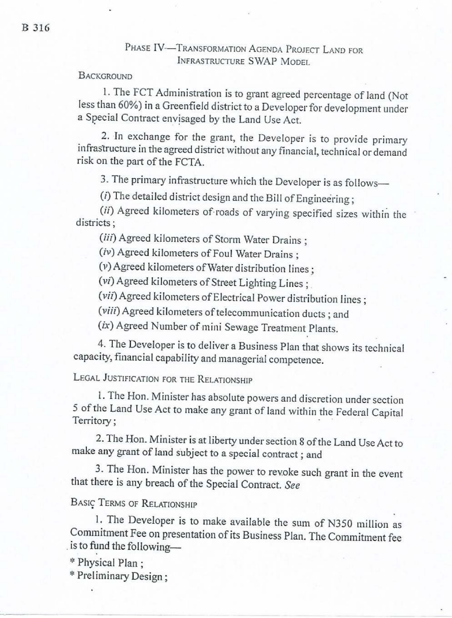# PHASE IV-<sup>TRANSFORMATION</sup> AGENDA PROJECT LAND FOR INFRASTRUCTURE SWAP MODEL

# **BACKGROUND**

1. The FCT Administration is to grant agreed percentage of land (Not less than 60%) in a Greenfield district to a Developer for development under a Special Contract envisaged by the Land Use Act.

2. In exchange for the grant, the Developer is to provide primary infrastructure in the agreed district without any financial, technical or demand risk on the part of the FCTA.

3. The primary infrastructure which the Developer is as follows—

 $(i)$  The detailed district design and the Bill of Engineering;

(ii) Agreed kilometers of-roads of varying specified sizes within the districts :

(iii) Agreed kilometers of Storm Water Drains ;

(iv) Agreed kilometers of Foul Water Drains ;

(v) Agreed kilometers of Water distribution lines :

(vi) Agreed kilometers of Street Lighting Lines ; .

(vii) Agreed kilometers of Electrical Power distribution lines ;

(viii) Agreed kilometers of telecommunication ducts ; and

(ix) Agreed Number of mini Sewage Treatment Plants.

4. The Developer is to deliver a Business Plan that shows its technical capacity, financial capability and managerial competence,

LEGAL JUSTIFICATION FOR THE RELATIONSHIP

l. The Hon. Minister has absolute powers and discretion under section 5 of the Land Use Act to make any grant of land within the Federal Capital Territory ; :

2. The Hon. Minister is at liberty under section 8 of the Land Use Act to make any grant of land subject to a special contract ; and

3. The Hon. Minister has the power to revoke such grant in the event that there is any breach of the Special Contract. See

Basi¢ TERMS OF RELATIONSHIP

1. The Developer is to make available the sum of N350 million as Commitment Fee on presentation of its Business Plan. The Commitment fee \_is to fund the following—

\* Physical Plan ;

\* Preliminary Design ;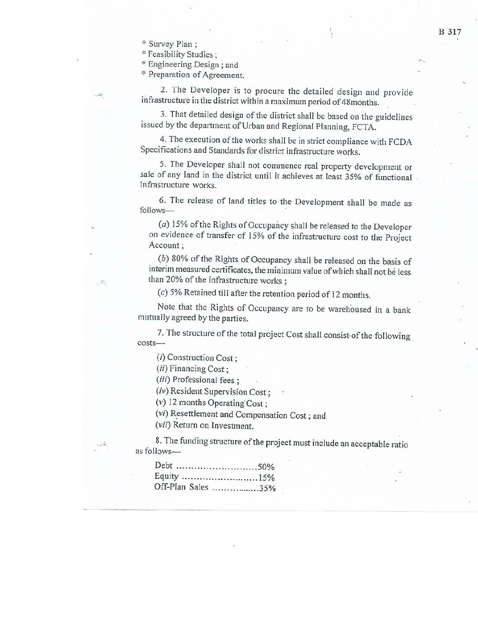\* Survey Plan ;

\* Feasibility Studies :

\* Engineering Design ; and

\* Preparation of Agreement.

2. The Developer is to procure the detailed design and provide infrastructure in the district within a maximum period of 48months.

3. That detailed design of the district shall be based on the guidelines issued by the department of Urban and Regional Planning, FCTA.

4, The execution of the works shall be in strict compliance with FCDA Specifications and Standards for district infrastructure works.

5. The Developer shall not commence real property development or sale of any land in the district until it achieves at least 35% of functional Infrastructure works.

6. The release of land titles to the Development shall be made as follows—

(a) 15% of the Rights of Occupancy shall be released to the Developer on evidence of transfer of 15% of the infrastructure cost to the Project Account ;

(6) 80% of the Rights of Occupancy shall be released on the basis of interim measured certificates, the minimum value of which shall not be less than 20% of the infrastructure works :

(c) 5% Retained till after the retention period of 12 months,

Note that the Rights of Occupancy are to be warehoused in a bank mutually agreed by the parties.

7. The structure of the total project Cost shall consist of the following costs—

(i) Construction Cost;

(ii) Financing Cost;

(iii) Professional fees ;

(iv) Resident Supervision Cost;

(v) 12 months Operating Cost ;

(vf) Resettlement and Compensation Cost ; and (vif) Return on Investment.

8. The funding structure of the project must include an acceptable ratio as follows—

| Off-Plan Sales 35% |  |
|--------------------|--|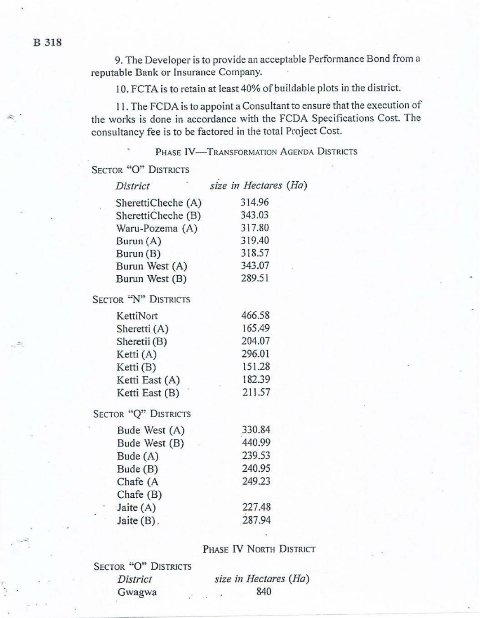9. The Developer is to provide an acceptable Performance Bond froma reputable Bank or Insurance Company.

10. FCTA is to retain at least 40% of buildable plots in the district.

11. The FCDA is to appoint a Consultant to ensure that the execution of the works is done in accordance with the FCDA Specifications Cost. The consultancy fee is to be factored in the total Project Cost.

# PHASE IV-TRANSFORMATION AGENDA DISTRICTS

SECTOR "O" DISTRICTS

| District                       | size in Hectares (Ha) |
|--------------------------------|-----------------------|
| SherettiCheche (A)             | 314.96                |
| SherettiCheche (B)             | 343.03                |
| Waru-Pozema (A)                | 317.80                |
| Burun (A)                      | 319.40                |
| Burun (B)                      | 318.57                |
| Burun West (A)                 | 343.07                |
| Burun West (B)                 | 289.51                |
| SECTOR "N" DISTRICTS           |                       |
| KettiNort                      | 466.58                |
| Sheretti (A)                   | 165.49                |
| Sheretii (B)                   | 204.07                |
| Ketti (A)                      | 296.01                |
| Ketti (B)                      | 151.28                |
| Ketti East (A)                 | 182.39                |
| Ketti East (B)                 | 211.57                |
| SECTOR "Q" DISTRICTS           |                       |
| Bude West (A)                  | 330.84                |
| Bude West (B)                  | 440.99                |
| Bude $(A)$                     | 239.53                |
| Bude (B)                       | 240.95                |
| Chafe (A                       | 249.23                |
| Chafe $(B)$                    |                       |
| Jaite $(A)$<br>$\mathcal{F}_i$ | 227.48                |
| Jaite $(B)$ .                  | 287.94                |

# PHASE IV NORTH DISTRICT

| SECTOR "O" DISTRICTS |               |
|----------------------|---------------|
| District             | size in Hecto |
| Gwagwa               | 840           |

e in Hectares (Ha)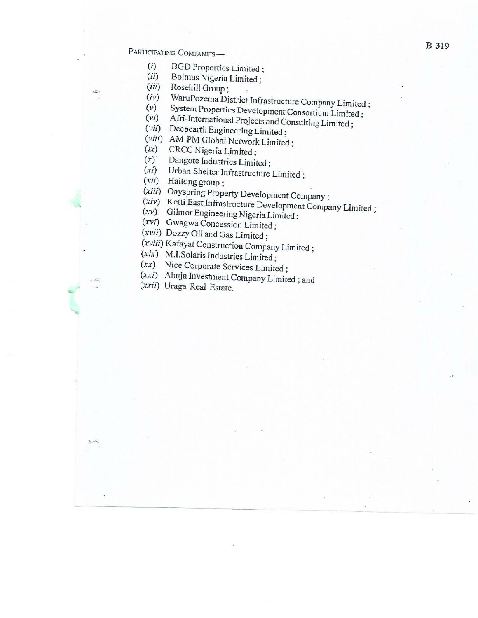B 319 B 319

Ā.

- (i) BGD Properties Limited : Bolmus Nigeria Limited ; Rosehill Group ;
- $(ii)$
- $(iii)$
- $(iv)$ <br> $(v)$ WaruPozema District Infrastructure Company Limited;<br>System Properties Development Consortium Limited;<br>Afri-International Projects and Consulting Limited;<br>Deepearth Engineering Limited;<br>AM-PM Global Network Limited;<br>CRCC Ni
- 
- (vi)
- (vii)
- (viii) AM-PM Global Network Limited;
- $(ix)$
- $(x)$
- $(x_i)$
- (xii) Haitong group;
- (xiii) Oayspring Property Development Company;
- (xiv) (*xiii*) Oayspring Property Development Company;<br>
(*xiv*) Ketti East Infrastructure Development Company Limited;<br>
(*xvi*) Gilmor Engineering Nigeria Limited;<br>
(*xvii*) Gwagwa Concession Limited;<br>
(*xvii*) Dozzy Oil and Ga
- (xv) Gilmor Engineering Nigeria Limited;
- (xvi) Gwagwa Concession Limited;
- 
- 
- 
- (xx) Nice Corporate Services Limited;
- (xxi) (xix) M.I.Solaris Industries Limited ;<br>
(xx) Nice Corporate Services Limited ;<br>
(xxi) Abuja Investment Company Limited ; and (xxii) Uraga Real Estate.